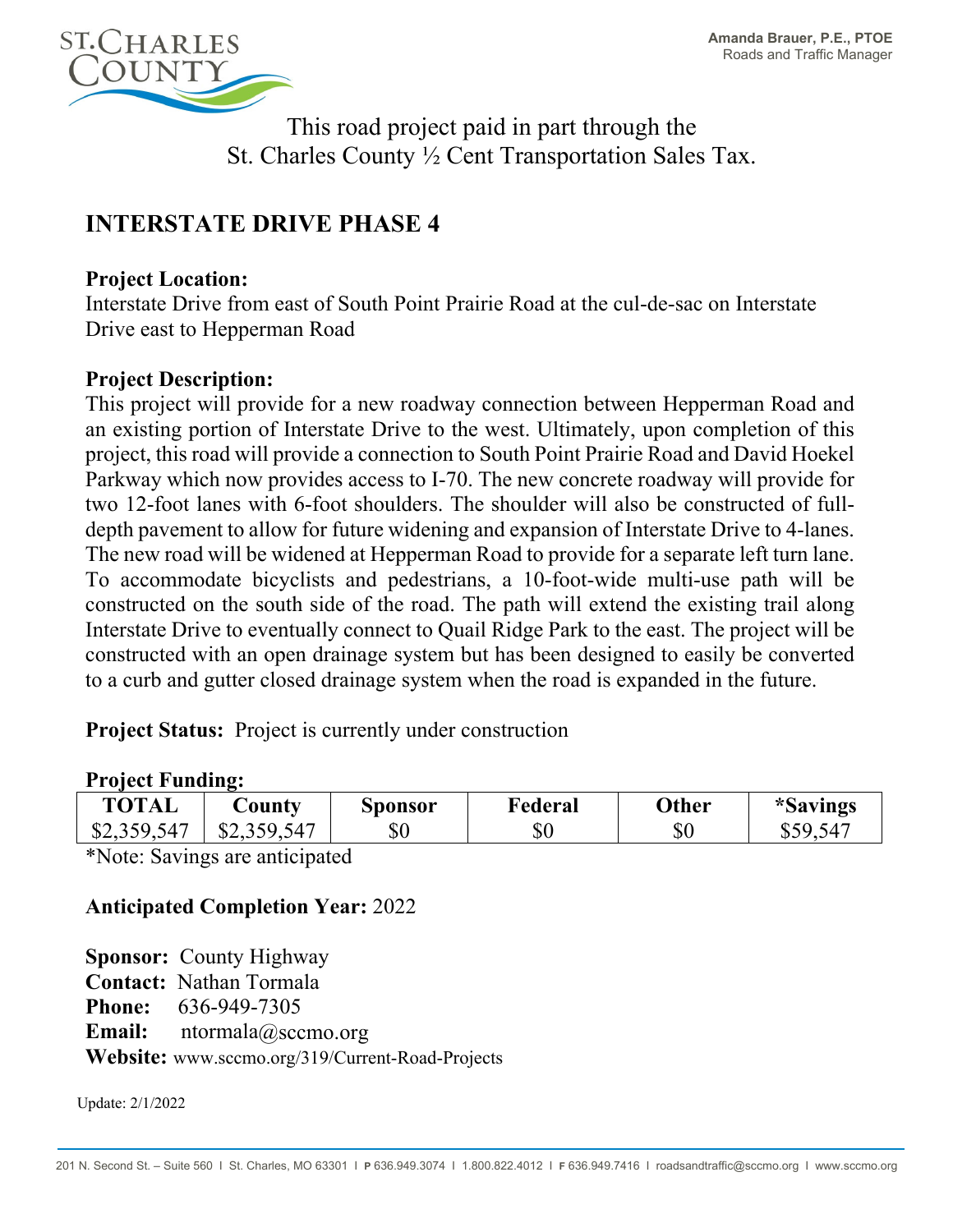

This road project paid in part through the St. Charles County ½ Cent Transportation Sales Tax.

# **INTERSTATE DRIVE PHASE 4**

### **Project Location:**

Interstate Drive from east of South Point Prairie Road at the cul-de-sac on Interstate Drive east to Hepperman Road

## **Project Description:**

This project will provide for a new roadway connection between Hepperman Road and an existing portion of Interstate Drive to the west. Ultimately, upon completion of this project, this road will provide a connection to South Point Prairie Road and David Hoekel Parkway which now provides access to I-70. The new concrete roadway will provide for two 12-foot lanes with 6-foot shoulders. The shoulder will also be constructed of fulldepth pavement to allow for future widening and expansion of Interstate Drive to 4-lanes. The new road will be widened at Hepperman Road to provide for a separate left turn lane. To accommodate bicyclists and pedestrians, a 10-foot-wide multi-use path will be constructed on the south side of the road. The path will extend the existing trail along Interstate Drive to eventually connect to Quail Ridge Park to the east. The project will be constructed with an open drainage system but has been designed to easily be converted to a curb and gutter closed drainage system when the road is expanded in the future.

**Project Status:** Project is currently under construction

#### **Project Funding:**

| <b>TOTAL</b> | $\cup$ ounty | Sponsor | Federal | Other | <i>*Savings</i> |
|--------------|--------------|---------|---------|-------|-----------------|
| \$2,359,547  | \$2,359,547  | $\$0$   | $\$0$   | \$0   | \$59547<br>υ⊃   |

\*Note: Savings are anticipated

## **Anticipated Completion Year:** 2022

**Sponsor:** County Highway **Contact:** Nathan Tormala **Phone:** 636-949-7305 **Email:** ntormala@sccmo.org **Website:** www.sccmo.org/319/Current-Road-Projects

Update: 2/1/2022